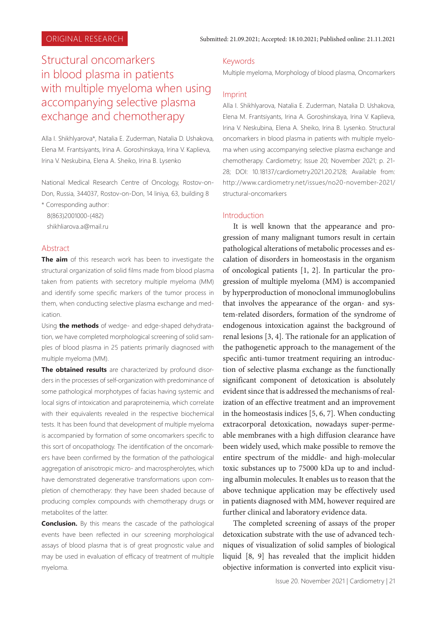# Structural oncomarkers in blood plasma in patients with multiple myeloma when using accompanying selective plasma exchange and chemotherapy

Alla I. Shikhlyarova\*, Natalia Е. Zuderman, Natalia D. Ushakova, Elena M. Frantsiyants, Irina А. Goroshinskaya, Irina V. Kaplieva, Irina V. Neskubina, Elena A. Sheiko, Irina B. Lysenko

National Medical Research Centre of Oncology, Rostov-on-Don, Russia, 344037, Rostov-on-Don, 14 liniya, 63, building 8

 \* Corresponding author: 8(863)2001000-(482) shikhliarova.a@mail.ru

#### Abstract

**The aim** of this research work has been to investigate the structural organization of solid films made from blood plasma taken from patients with secretory multiple myeloma (MM) and identify some specific markers of the tumor process in them, when conducting selective plasma exchange and medication.

Using **the methods** of wedge- and edge-shaped dehydratation, we have completed morphological screening of solid samples of blood plasma in 25 patients primarily diagnosed with multiple myeloma (MM).

**The obtained results** are characterized by profound disorders in the processes of self-organization with predominance of some pathological morphotypes of facias having systemic and local signs of intoxication and paraproteinemia, which correlate with their equivalents revealed in the respective biochemical tests. It has been found that development of multiple myeloma is accompanied by formation of some oncomarkers specific to this sort of oncopathology. The identification of the oncomarkers have been confirmed by the formation of the pathological aggregation of anisotropic micro- and macrospherolytes, which have demonstrated degenerative transformations upon completion of chemotherapy: they have been shaded because of producing complex compounds with chemotherapy drugs or metabolites of the latter.

**Conclusion.** By this means the cascade of the pathological events have been reflected in our screening morphological assays of blood plasma that is of great prognostic value and may be used in evaluation of efficacy of treatment of multiple myeloma.

### Keywords

Multiple myeloma, Morphology of blood plasma, Oncomarkers

### Imprint

Alla I. Shikhlyarova, Natalia Е. Zuderman, Natalia D. Ushakova, Elena M. Frantsiyants, Irina А. Goroshinskaya, Irina V. Kaplieva, Irina V. Neskubina, Elena A. Sheiko, Irina B. Lysenko. Structural oncomarkers in blood plasma in patients with multiple myeloma when using accompanying selective plasma exchange and chemotherapy. Cardiometry; Issue 20; November 2021; p. 21- 28; DOI: 10.18137/cardiometry.2021.20.2128; Available from: http://www.cardiometry.net/issues/no20-november-2021/ structural-oncomarkers

#### Introduction

It is well known that the appearance and progression of many malignant tumors result in certain pathological alterations of metabolic processes and escalation of disorders in homeostasis in the organism of oncological patients [1, 2]. In particular the progression of multiple myeloma (MM) is accompanied by hyperproduction of monoclonal immunoglobulins that involves the appearance of the organ- and system-related disorders, formation of the syndrome of endogenous intoxication against the background of renal lesions [3, 4]. The rationale for an application of the pathogenetic approach to the management of the specific anti-tumor treatment requiring an introduction of selective plasma exchange as the functionally significant component of detoxication is absolutely evident since that is addressed the mechanisms of realization of an effective treatment and an improvement in the homeostasis indices [5, 6, 7]. When conducting extracorporal detoxication, nowadays super-permeable membranes with a high diffusion clearance have been widely used, which make possible to remove the entire spectrum of the middle- and high-molecular toxic substances up to 75000 kDa up to and including albumin molecules. It enables us to reason that the above technique application may be effectively used in patients diagnosed with MM, however required are further clinical and laboratory evidence data.

The completed screening of assays of the proper detoxication substrate with the use of advanced techniques of visualization of solid samples of biological liquid [8, 9] has revealed that the implicit hidden objective information is converted into explicit visu-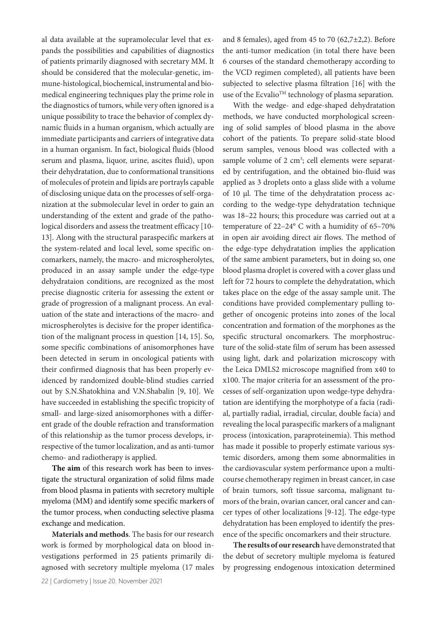al data available at the supramolecular level that expands the possibilities and capabilities of diagnostics of patients primarily diagnosed with secretary MM. It should be considered that the molecular-genetic, immune-histological, biochemical, instrumental and biomedical engineering techniques play the prime role in the diagnostics of tumors, while very often ignored is a unique possibility to trace the behavior of complex dynamic fluids in a human organism, which actually are immediate participants and carriers of integrative data in a human organism. In fact, biological fluids (blood serum and plasma, liquor, urine, ascites fluid), upon their dehydratation, due to conformational transitions of molecules of protein and lipids are portrayls capable of disclosing unique data on the processes of self-organization at the submolecular level in order to gain an understanding of the extent and grade of the pathological disorders and assess the treatment efficacy [10- 13]. Along with the structural paraspecific markers at the system-related and local level, some specific oncomarkers, namely, the macro- and microspherolytes, produced in an assay sample under the edge-type dehydrataion conditions, are recognized as the most precise diagnostic criteria for assessing the extent or grade of progression of a malignant process. An evaluation of the state and interactions of the macro- and microspherolytes is decisive for the proper identification of the malignant process in question [14, 15]. So, some specific combinations of anisomorphones have been detected in serum in oncological patients with their confirmed diagnosis that has been properly evidenced by randomized double-blind studies carried out by S.N.Shatokhina and V.N.Shabalin [9, 10]. We have succeeded in establishing the specific tropicity of small- and large-sized anisomorphones with a different grade of the double refraction and transformation of this relationship as the tumor process develops, irrespective of the tumor localization, and as anti-tumor chemo- and radiotherapy is applied.

**The aim** of this research work has been to investigate the structural organization of solid films made from blood plasma in patients with secretory multiple myeloma (MM) and identify some specific markers of the tumor process, when conducting selective plasma exchange and medication.

**Materials and methods**. The basis for our research work is formed by morphological data on blood investigations performed in 25 patients primarily diagnosed with secretory multiple myeloma (17 males and 8 females), aged from 45 to 70 (62,7 $\pm$ 2,2). Before the anti-tumor medication (in total there have been 6 courses of the standard chemotherapy according to the VCD regimen completed), all patients have been subjected to selective plasma filtration [16] with the use of the Ecvalio<sup>TM</sup> technology of plasma separation.

With the wedge- and edge-shaped dehydratation methods, we have conducted morphological screening of solid samples of blood plasma in the above cohort of the patients. To prepare solid-state blood serum samples, venous blood was collected with a sample volume of  $2 \text{ cm}^3$ ; cell elements were separated by centrifugation, and the obtained bio-fluid was applied as 3 droplets onto a glass slide with a volume of 10 μl. The time of the dehydratation process according to the wedge-type dehydratation technique was 18–22 hours; this procedure was carried out at a temperature of 22–24° C with a humidity of 65–70% in open air avoiding direct air flows. The method of the edge-type dehydratation implies the application of the same ambient parameters, but in doing so, one blood plasma droplet is covered with a cover glass und left for 72 hours to complete the dehydratation, which takes place on the edge of the assay sample unit. The conditions have provided complementary pulling together of oncogenic proteins into zones of the local concentration and formation of the morphones as the specific structural oncomarkers. The morphostructure of the solid-state film of serum has been assessed using light, dark and polarization microscopy with the Leica DMLS2 microscope magnified from x40 to x100. The major criteria for an assessment of the processes of self-organization upon wedge-type dehydratation are identifying the morphotype of a facia (radial, partially radial, irradial, circular, double facia) and revealing the local paraspecific markers of a malignant process (intoxication, paraproteinemia). This method has made it possible to properly estimate various systemic disorders, among them some abnormalities in the cardiovascular system performance upon a multicourse chemotherapy regimen in breast cancer, in case of brain tumors, soft tissue sarcoma, malignant tumors of the brain, ovarian cancer, oral cancer and cancer types of other localizations [9-12]. The edge-type dehydratation has been employed to identify the presence of the specific oncomarkers and their structure.

**The results of our research** have demonstrated that the debut of secretory multiple myeloma is featured by progressing endogenous intoxication determined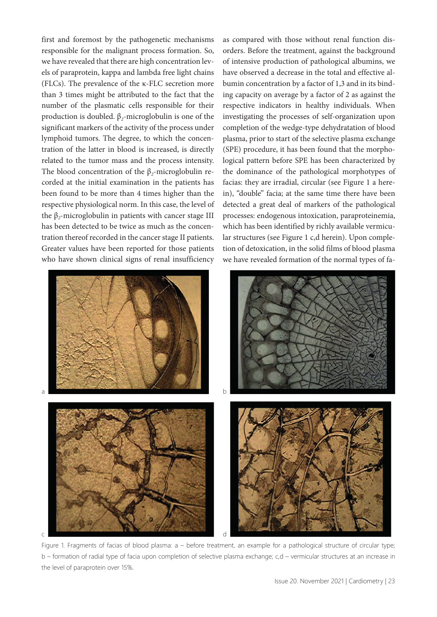first and foremost by the pathogenetic mechanisms responsible for the malignant process formation. So, we have revealed that there are high concentration levels of paraprotein, kappa and lambda free light chains (FLCs). The prevalence of the κ-FLC secretion more than 3 times might be attributed to the fact that the number of the plasmatic cells responsible for their production is doubled. β*2*-microglobulin is one of the significant markers of the activity of the process under lymphoid tumors. The degree, to which the concentration of the latter in blood is increased, is directly related to the tumor mass and the process intensity. The blood concentration of the β*2*-microglobulin recorded at the initial examination in the patients has been found to be more than 4 times higher than the respective physiological norm. In this case, the level of the β*2*-microglobulin in patients with cancer stage III has been detected to be twice as much as the concentration thereof recorded in the cancer stage II patients. Greater values have been reported for those patients who have shown clinical signs of renal insufficiency



as compared with those without renal function disorders. Before the treatment, against the background of intensive production of pathological albumins, we have observed a decrease in the total and effective albumin concentration by a factor of 1,3 and in its binding capacity on average by a factor of 2 as against the respective indicators in healthy individuals. When investigating the processes of self-organization upon completion of the wedge-type dehydratation of blood plasma, prior to start of the selective plasma exchange (SPE) procedure, it has been found that the morphological pattern before SPE has been characterized by the dominance of the pathological morphotypes of facias: they are irradial, circular (see Figure 1 a herein), "double" facia; at the same time there have been detected a great deal of markers of the pathological processes: endogenous intoxication, paraproteinemia, which has been identified by richly available vermicular structures (see Figure 1 c,d herein). Upon completion of detoxication, in the solid films of blood plasma we have revealed formation of the normal types of fa-



Figure 1. Fragments of facias of blood plasma: a – before treatment, an example for a pathological structure of circular type; b – formation of radial type of facia upon completion of selective plasma exchange; c,d – vermicular structures at an increase in the level of paraprotein over 15%.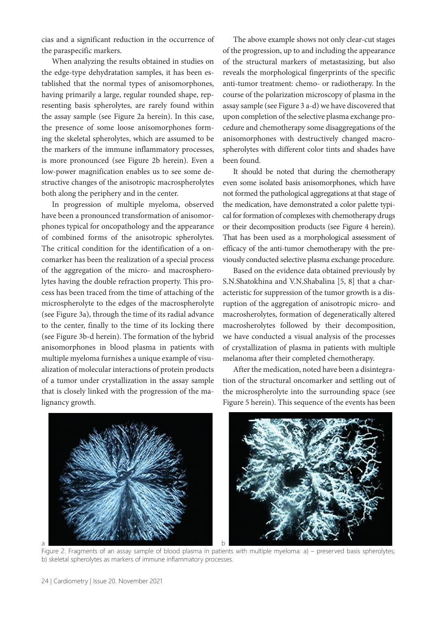cias and a significant reduction in the occurrence of the paraspecific markers.

When analyzing the results obtained in studies on the edge-type dehydratation samples, it has been established that the normal types of anisomorphones, having primarily a large, regular rounded shape, representing basis spherolytes, are rarely found within the assay sample (see Figure 2a herein). In this case, the presence of some loose anisomorphones forming the skeletal spherolytes, which are assumed to be the markers of the immune inflammatory processes, is more pronounced (see Figure 2b herein). Even a low-power magnification enables us to see some destructive changes of the anisotropic macrospherolytes both along the periphery and in the center.

In progression of multiple myeloma, observed have been a pronounced transformation of anisomorphones typical for oncopathology and the appearance of combined forms of the anisotropic spherolytes. The critical condition for the identification of a oncomarker has been the realization of a special process of the aggregation of the micro- and macrospherolytes having the double refraction property. This process has been traced from the time of attaching of the microspherolyte to the edges of the macrospherolyte (see Figure 3a), through the time of its radial advance to the center, finally to the time of its locking there (see Figure 3b-d herein). The formation of the hybrid anisomorphones in blood plasma in patients with multiple myeloma furnishes a unique example of visualization of molecular interactions of protein products of a tumor under crystallization in the assay sample that is closely linked with the progression of the malignancy growth.

The above example shows not only clear-cut stages of the progression, up to and including the appearance of the structural markers of metastasizing, but also reveals the morphological fingerprints of the specific anti-tumor treatment: chemo- or radiotherapy. In the course of the polarization microscopy of plasma in the assay sample (see Figure 3 a-d) we have discovered that upon completion of the selective plasma exchange procedure and chemotherapy some disaggregations of the anisomorphones with destructively changed macrospherolytes with different color tints and shades have been found.

It should be noted that during the chemotherapy even some isolated basis anisomorphones, which have not formed the pathological aggregations at that stage of the medication, have demonstrated a color palette typical for formation of complexes with chemotherapy drugs or their decomposition products (see Figure 4 herein). That has been used as a morphological assessment of efficacy of the anti-tumor chemotherapy with the previously conducted selective plasma exchange procedure.

Based on the evidence data obtained previously by S.N.Shatokhina and V.N.Shabalina [5, 8] that a characteristic for suppression of the tumor growth is a disruption of the aggregation of anisotropic micro- and macrosherolytes, formation of degeneratically altered macrosherolytes followed by their decomposition, we have conducted a visual analysis of the processes of crystallization of plasma in patients with multiple melanoma after their completed chemotherapy.

After the medication, noted have been a disintegration of the structural oncomarker and settling out of the microspherolyte into the surrounding space (see Figure 5 herein). This sequence of the events has been



Figure 2. Fragments of an assay sample of blood plasma in patients with multiple myeloma: a) – preserved basis spherolytes; b) skeletal spherolytes as markers of immune inflammatory processes.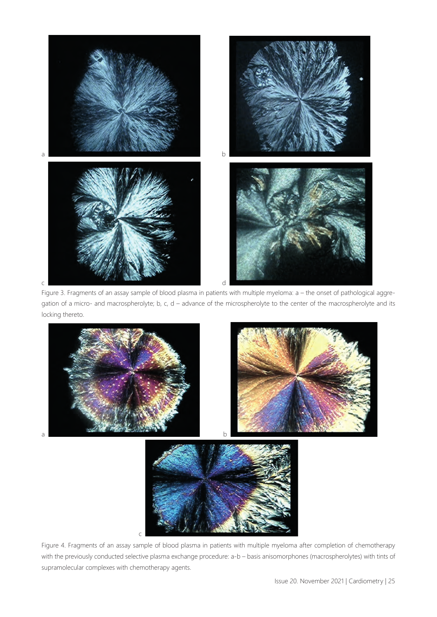

Figure 3. Fragments of an assay sample of blood plasma in patients with multiple myeloma: a – the onset of pathological aggregation of a micro- and macrospherolyte; b, c, d – advance of the microspherolyte to the center of the macrospherolyte and its locking thereto.



Figure 4. Fragments of an assay sample of blood plasma in patients with multiple myeloma after completion of chemotherapy with the previously conducted selective plasma exchange procedure: a-b – basis anisomorphones (macrospherolytes) with tints of supramolecular complexes with chemotherapy agents.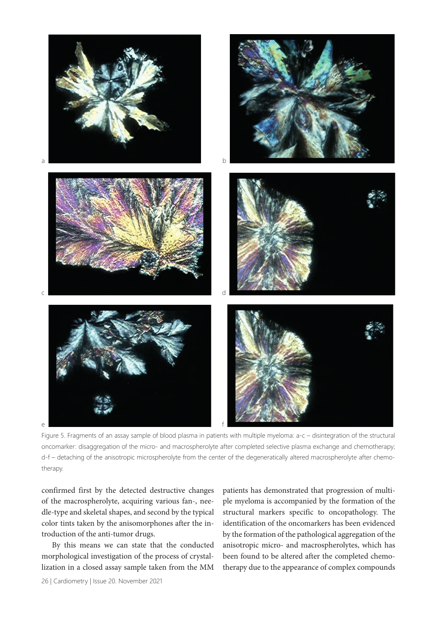

Figure 5. Fragments of an assay sample of blood plasma in patients with multiple myeloma: a-c – disintegration of the structural oncomarker: disaggregation of the micro- and macrospherolyte after completed selective plasma exchange and chemotherapy; d-f – detaching of the anisotropic microspherolyte from the center of the degeneratically altered macrospherolyte after chemotherapy.

confirmed first by the detected destructive changes of the macrospherolyte, acquiring various fan-, needle-type and skeletal shapes, and second by the typical color tints taken by the anisomorphones after the introduction of the anti-tumor drugs.

By this means we can state that the conducted morphological investigation of the process of crystallization in a closed assay sample taken from the MM patients has demonstrated that progression of multiple myeloma is accompanied by the formation of the structural markers specific to oncopathology. The identification of the oncomarkers has been evidenced by the formation of the pathological aggregation of the anisotropic micro- and macrospherolytes, which has been found to be altered after the completed chemotherapy due to the appearance of complex compounds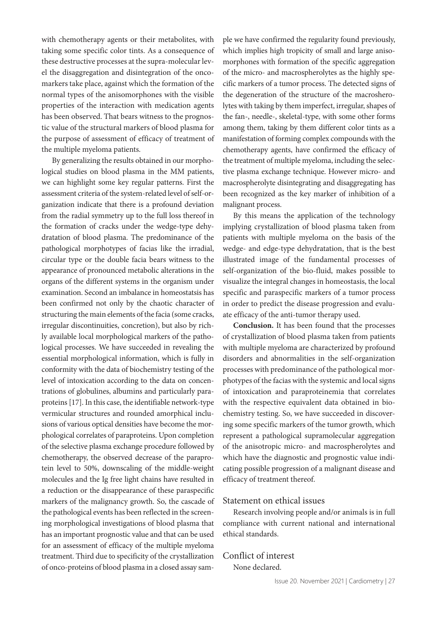with chemotherapy agents or their metabolites, with taking some specific color tints. As a consequence of these destructive processes at the supra-molecular level the disaggregation and disintegration of the oncomarkers take place, against which the formation of the normal types of the anisomorphones with the visible properties of the interaction with medication agents has been observed. That bears witness to the prognostic value of the structural markers of blood plasma for the purpose of assessment of efficacy of treatment of the multiple myeloma patients.

By generalizing the results obtained in our morphological studies on blood plasma in the MM patients, we can highlight some key regular patterns. First the assessment criteria of the system-related level of self-organization indicate that there is a profound deviation from the radial symmetry up to the full loss thereof in the formation of cracks under the wedge-type dehydratation of blood plasma. The predominance of the pathological morphotypes of facias like the irradial, circular type or the double facia bears witness to the appearance of pronounced metabolic alterations in the organs of the different systems in the organism under examination. Second an imbalance in homeostatsis has been confirmed not only by the chaotic character of structuring the main elements of the facia (some cracks, irregular discontinuities, concretion), but also by richly available local morphological markers of the pathological processes. We have succeeded in revealing the essential morphological information, which is fully in conformity with the data of biochemistry testing of the level of intoxication according to the data on concentrations of globulines, albumins and particularly paraproteins [17]. In this case, the identifiable network-type vermicular structures and rounded amorphical inclusions of various optical densities have become the morphological correlates of paraproteins. Upon completion of the selective plasma exchange procedure followed by chemotherapy, the observed decrease of the paraprotein level to 50%, downscaling of the middle-weight molecules and the Ig free light chains have resulted in a reduction or the disappearance of these paraspecific markers of the malignancy growth. So, the cascade of the pathological events has been reflected in the screening morphological investigations of blood plasma that has an important prognostic value and that can be used for an assessment of efficacy of the multiple myeloma treatment. Third due to specificity of the crystallization of onco-proteins of blood plasma in a closed assay sample we have confirmed the regularity found previously, which implies high tropicity of small and large anisomorphones with formation of the specific aggregation of the micro- and macrospherolytes as the highly specific markers of a tumor process. The detected signs of the degeneration of the structure of the macrosherolytes with taking by them imperfect, irregular, shapes of the fan-, needle-, skeletal-type, with some other forms among them, taking by them different color tints as a manifestation of forming complex compounds with the chemotherapy agents, have confirmed the efficacy of the treatment of multiple myeloma, including the selective plasma exchange technique. However micro- and macrospherolyte disintegrating and disaggregating has been recognized as the key marker of inhibition of a malignant process.

By this means the application of the technology implying crystallization of blood plasma taken from patients with multiple myeloma on the basis of the wedge- and edge-type dehydratation, that is the best illustrated image of the fundamental processes of self-organization of the bio-fluid, makes possible to visualize the integral changes in homeostasis, the local specific and paraspecific markers of a tumor process in order to predict the disease progression and evaluate efficacy of the anti-tumor therapy used.

**Conclusion.** It has been found that the processes of crystallization of blood plasma taken from patients with multiple myeloma are characterized by profound disorders and abnormalities in the self-organization processes with predominance of the pathological morphotypes of the facias with the systemic and local signs of intoxication and paraproteinemia that correlates with the respective equivalent data obtained in biochemistry testing. So, we have succeeded in discovering some specific markers of the tumor growth, which represent a pathological supramolecular aggregation of the anisotropic micro- and macrospherolytes and which have the diagnostic and prognostic value indicating possible progression of a malignant disease and efficacy of treatment thereof.

# Statement on ethical issues

Research involving people and/or animals is in full compliance with current national and international ethical standards.

# Conflict of interest

None declared.